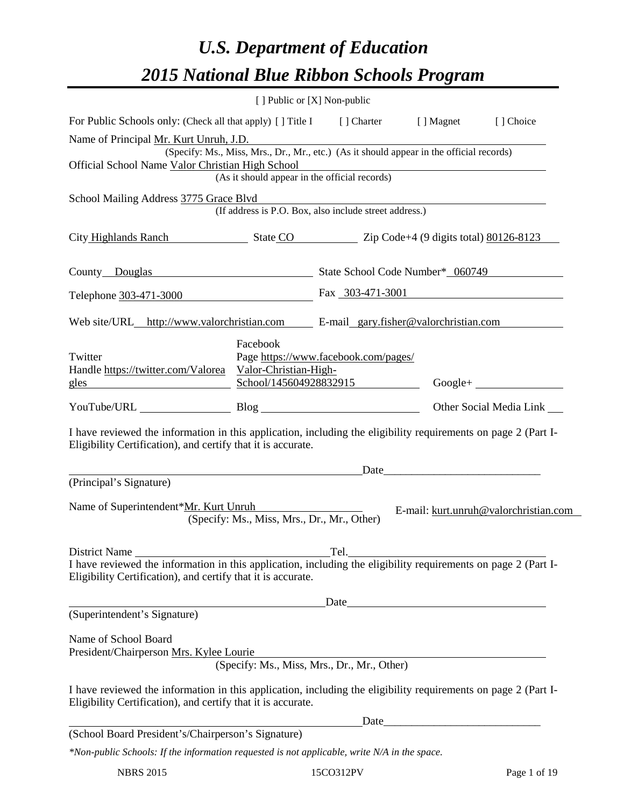# *U.S. Department of Education 2015 National Blue Ribbon Schools Program*

|                                                                                                                                                                                |                                                               | [ ] Public or [X] Non-public                                                             |                                                                                                                      |                                       |
|--------------------------------------------------------------------------------------------------------------------------------------------------------------------------------|---------------------------------------------------------------|------------------------------------------------------------------------------------------|----------------------------------------------------------------------------------------------------------------------|---------------------------------------|
| For Public Schools only: (Check all that apply) [] Title I [] Charter [] Magnet                                                                                                |                                                               |                                                                                          |                                                                                                                      | [ ] Choice                            |
| Name of Principal Mr. Kurt Unruh, J.D.                                                                                                                                         |                                                               |                                                                                          |                                                                                                                      |                                       |
| Official School Name Valor Christian High School                                                                                                                               |                                                               | (Specify: Ms., Miss, Mrs., Dr., Mr., etc.) (As it should appear in the official records) |                                                                                                                      |                                       |
|                                                                                                                                                                                |                                                               | ristian High School<br>(As it should appear in the official records)                     |                                                                                                                      |                                       |
| School Mailing Address 3775 Grace Blvd                                                                                                                                         |                                                               |                                                                                          |                                                                                                                      |                                       |
|                                                                                                                                                                                |                                                               | (If address is P.O. Box, also include street address.)                                   |                                                                                                                      |                                       |
| City Highlands Ranch State CO Zip Code+4 (9 digits total) 80126-8123                                                                                                           |                                                               |                                                                                          |                                                                                                                      |                                       |
| County Douglas State School Code Number* 060749                                                                                                                                |                                                               |                                                                                          |                                                                                                                      |                                       |
| Telephone 303-471-3000                                                                                                                                                         |                                                               | Fax 303-471-3001                                                                         |                                                                                                                      |                                       |
| Web site/URL_http://www.valorchristian.com E-mail_gary.fisher@valorchristian.com                                                                                               |                                                               |                                                                                          |                                                                                                                      |                                       |
| Twitter<br>Handle https://twitter.com/Valorea Valor-Christian-High-<br><u>gles</u>                                                                                             | Facebook                                                      | Page https://www.facebook.com/pages/<br>School/145604928832915                           |                                                                                                                      | $Google + \_$                         |
| YouTube/URL Blog Blog                                                                                                                                                          |                                                               |                                                                                          |                                                                                                                      | Other Social Media Link               |
| I have reviewed the information in this application, including the eligibility requirements on page 2 (Part I-<br>Eligibility Certification), and certify that it is accurate. |                                                               |                                                                                          |                                                                                                                      |                                       |
| (Principal's Signature)                                                                                                                                                        | <u> 1989 - Johann Barn, fransk politik fotograf (d. 1989)</u> |                                                                                          | Date                                                                                                                 |                                       |
| Name of Superintendent*Mr. Kurt Unruh                                                                                                                                          |                                                               |                                                                                          |                                                                                                                      |                                       |
|                                                                                                                                                                                | (Specify: Ms., Miss, Mrs., Dr., Mr., Other)                   |                                                                                          |                                                                                                                      | E-mail: kurt.unruh@valorchristian.com |
| <b>District Name</b>                                                                                                                                                           |                                                               | Tel.                                                                                     |                                                                                                                      |                                       |
| I have reviewed the information in this application, including the eligibility requirements on page 2 (Part I-<br>Eligibility Certification), and certify that it is accurate. |                                                               |                                                                                          |                                                                                                                      |                                       |
|                                                                                                                                                                                |                                                               | Date                                                                                     | <u> 1989 - Johann Barn, mars ann an t-Amhain Aonaich an t-Aonaich an t-Aonaich ann an t-Aonaich ann an t-Aonaich</u> |                                       |
| (Superintendent's Signature)                                                                                                                                                   |                                                               |                                                                                          |                                                                                                                      |                                       |
| Name of School Board<br>President/Chairperson Mrs. Kylee Lourie                                                                                                                |                                                               | (Specify: Ms., Miss, Mrs., Dr., Mr., Other)                                              |                                                                                                                      |                                       |
| I have reviewed the information in this application, including the eligibility requirements on page 2 (Part I-<br>Eligibility Certification), and certify that it is accurate. |                                                               |                                                                                          |                                                                                                                      |                                       |
|                                                                                                                                                                                |                                                               | Date_                                                                                    |                                                                                                                      |                                       |
| (School Board President's/Chairperson's Signature)                                                                                                                             |                                                               |                                                                                          |                                                                                                                      |                                       |
| *Non-public Schools: If the information requested is not applicable, write N/A in the space.                                                                                   |                                                               |                                                                                          |                                                                                                                      |                                       |

NBRS 2015 15CO312PV Page 1 of 19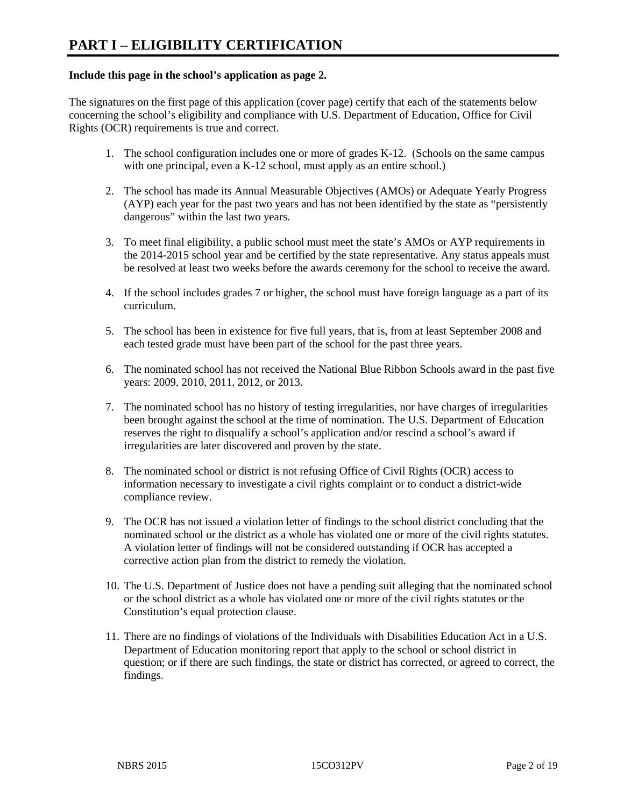#### **Include this page in the school's application as page 2.**

The signatures on the first page of this application (cover page) certify that each of the statements below concerning the school's eligibility and compliance with U.S. Department of Education, Office for Civil Rights (OCR) requirements is true and correct.

- 1. The school configuration includes one or more of grades K-12. (Schools on the same campus with one principal, even a K-12 school, must apply as an entire school.)
- 2. The school has made its Annual Measurable Objectives (AMOs) or Adequate Yearly Progress (AYP) each year for the past two years and has not been identified by the state as "persistently dangerous" within the last two years.
- 3. To meet final eligibility, a public school must meet the state's AMOs or AYP requirements in the 2014-2015 school year and be certified by the state representative. Any status appeals must be resolved at least two weeks before the awards ceremony for the school to receive the award.
- 4. If the school includes grades 7 or higher, the school must have foreign language as a part of its curriculum.
- 5. The school has been in existence for five full years, that is, from at least September 2008 and each tested grade must have been part of the school for the past three years.
- 6. The nominated school has not received the National Blue Ribbon Schools award in the past five years: 2009, 2010, 2011, 2012, or 2013.
- 7. The nominated school has no history of testing irregularities, nor have charges of irregularities been brought against the school at the time of nomination. The U.S. Department of Education reserves the right to disqualify a school's application and/or rescind a school's award if irregularities are later discovered and proven by the state.
- 8. The nominated school or district is not refusing Office of Civil Rights (OCR) access to information necessary to investigate a civil rights complaint or to conduct a district-wide compliance review.
- 9. The OCR has not issued a violation letter of findings to the school district concluding that the nominated school or the district as a whole has violated one or more of the civil rights statutes. A violation letter of findings will not be considered outstanding if OCR has accepted a corrective action plan from the district to remedy the violation.
- 10. The U.S. Department of Justice does not have a pending suit alleging that the nominated school or the school district as a whole has violated one or more of the civil rights statutes or the Constitution's equal protection clause.
- 11. There are no findings of violations of the Individuals with Disabilities Education Act in a U.S. Department of Education monitoring report that apply to the school or school district in question; or if there are such findings, the state or district has corrected, or agreed to correct, the findings.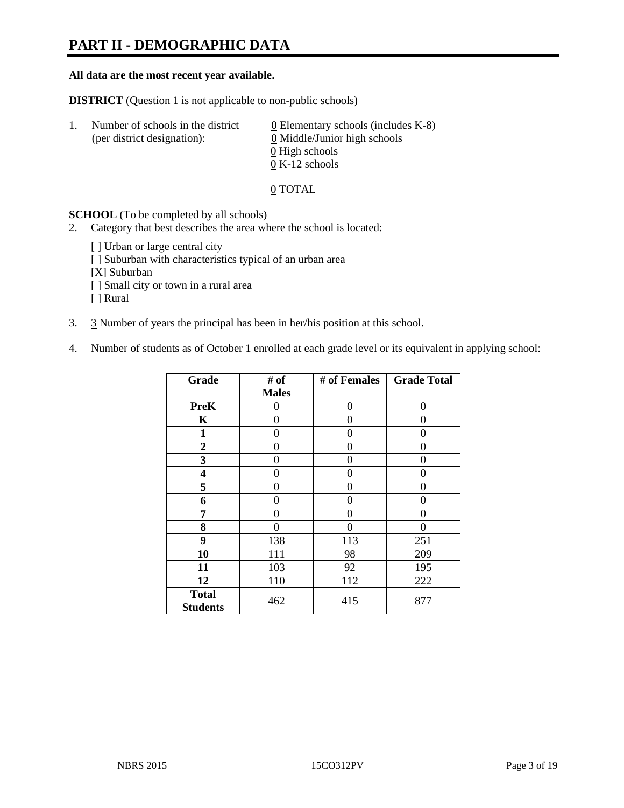## **PART II - DEMOGRAPHIC DATA**

#### **All data are the most recent year available.**

**DISTRICT** (Question 1 is not applicable to non-public schools)

| -1. | Number of schools in the district<br>(per district designation): | $\underline{0}$ Elementary schools (includes K-8)<br>0 Middle/Junior high schools<br>0 High schools |
|-----|------------------------------------------------------------------|-----------------------------------------------------------------------------------------------------|
|     |                                                                  |                                                                                                     |
|     |                                                                  | $0 K-12$ schools                                                                                    |

0 TOTAL

**SCHOOL** (To be completed by all schools)

- 2. Category that best describes the area where the school is located:
	- [ ] Urban or large central city
	- [ ] Suburban with characteristics typical of an urban area
	- [X] Suburban
	- [ ] Small city or town in a rural area
	- [ ] Rural
- 3. 3 Number of years the principal has been in her/his position at this school.
- 4. Number of students as of October 1 enrolled at each grade level or its equivalent in applying school:

| Grade                           | # of         | # of Females | <b>Grade Total</b> |
|---------------------------------|--------------|--------------|--------------------|
|                                 | <b>Males</b> |              |                    |
| <b>PreK</b>                     | 0            | 0            | 0                  |
| K                               | 0            | 0            | 0                  |
| $\mathbf{1}$                    | 0            | 0            | 0                  |
| $\mathbf{2}$                    | 0            | $\Omega$     | 0                  |
| 3                               | 0            | 0            | 0                  |
| 4                               | 0            | 0            | $\theta$           |
| 5                               | 0            | $\Omega$     | 0                  |
| 6                               | 0            | 0            | $\theta$           |
| 7                               | 0            | 0            | $\theta$           |
| 8                               | 0            | 0            | 0                  |
| 9                               | 138          | 113          | 251                |
| 10                              | 111          | 98           | 209                |
| 11                              | 103          | 92           | 195                |
| 12                              | 110          | 112          | 222                |
| <b>Total</b><br><b>Students</b> | 462          | 415          | 877                |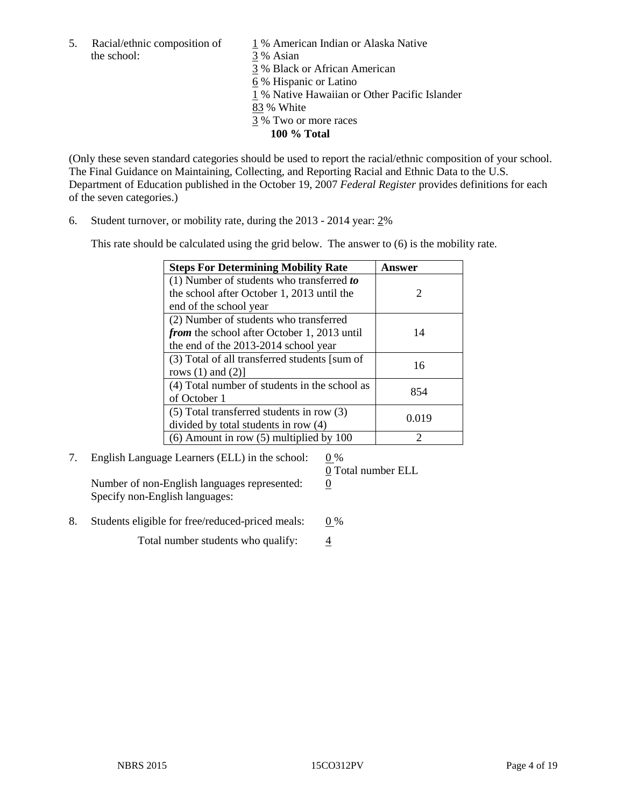the school: 3 % Asian

5. Racial/ethnic composition of  $1\%$  American Indian or Alaska Native

3 % Black or African American

6 % Hispanic or Latino

1 % Native Hawaiian or Other Pacific Islander

- 83 % White
- 3 % Two or more races
	- **100 % Total**

(Only these seven standard categories should be used to report the racial/ethnic composition of your school. The Final Guidance on Maintaining, Collecting, and Reporting Racial and Ethnic Data to the U.S. Department of Education published in the October 19, 2007 *Federal Register* provides definitions for each of the seven categories.)

6. Student turnover, or mobility rate, during the 2013 - 2014 year: 2%

This rate should be calculated using the grid below. The answer to (6) is the mobility rate.

| <b>Steps For Determining Mobility Rate</b>         | Answer |
|----------------------------------------------------|--------|
| $(1)$ Number of students who transferred to        |        |
| the school after October 1, 2013 until the         | 2      |
| end of the school year                             |        |
| (2) Number of students who transferred             |        |
| <i>from</i> the school after October 1, 2013 until | 14     |
| the end of the 2013-2014 school year               |        |
| (3) Total of all transferred students [sum of      | 16     |
| rows $(1)$ and $(2)$ ]                             |        |
| (4) Total number of students in the school as      | 854    |
| of October 1                                       |        |
| $(5)$ Total transferred students in row $(3)$      | 0.019  |
| divided by total students in row (4)               |        |
| $(6)$ Amount in row $(5)$ multiplied by 100        | 2      |

### 7. English Language Learners (ELL) in the school:  $0\%$

Number of non-English languages represented: 0 Specify non-English languages:

0 Total number ELL

8. Students eligible for free/reduced-priced meals:  $0\%$ 

Total number students who qualify:  $\frac{4}{9}$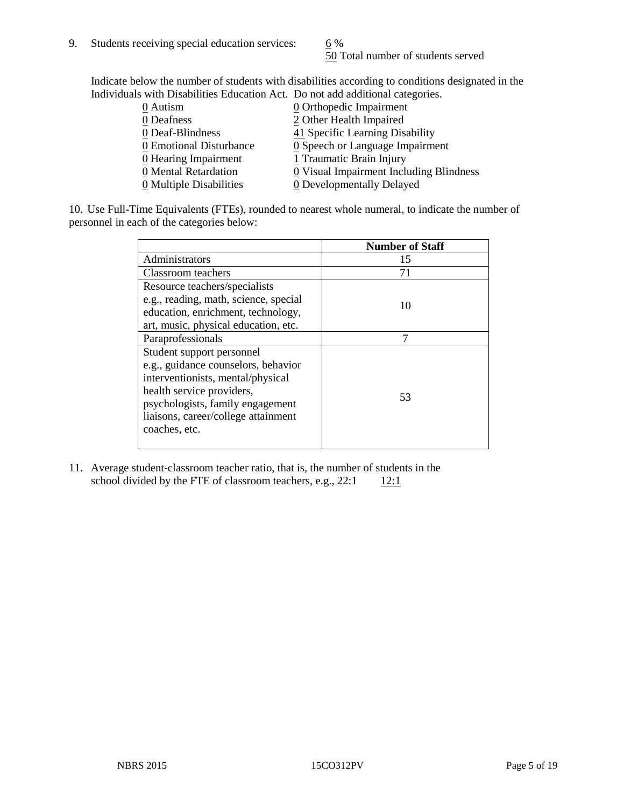50 Total number of students served

Indicate below the number of students with disabilities according to conditions designated in the Individuals with Disabilities Education Act. Do not add additional categories.

| 0 Autism                           | $\underline{0}$ Orthopedic Impairment         |
|------------------------------------|-----------------------------------------------|
| 0 Deafness                         | 2 Other Health Impaired                       |
| 0 Deaf-Blindness                   | 41 Specific Learning Disability               |
| 0 Emotional Disturbance            | $\underline{0}$ Speech or Language Impairment |
| $\underline{0}$ Hearing Impairment | 1 Traumatic Brain Injury                      |
| 0 Mental Retardation               | 0 Visual Impairment Including Blindness       |
| 0 Multiple Disabilities            | 0 Developmentally Delayed                     |
|                                    |                                               |

10. Use Full-Time Equivalents (FTEs), rounded to nearest whole numeral, to indicate the number of personnel in each of the categories below:

|                                       | <b>Number of Staff</b> |
|---------------------------------------|------------------------|
| Administrators                        | 15                     |
| Classroom teachers                    | 71                     |
| Resource teachers/specialists         |                        |
| e.g., reading, math, science, special | 10                     |
| education, enrichment, technology,    |                        |
| art, music, physical education, etc.  |                        |
| Paraprofessionals                     |                        |
| Student support personnel             |                        |
| e.g., guidance counselors, behavior   |                        |
| interventionists, mental/physical     |                        |
| health service providers,             | 53                     |
| psychologists, family engagement      |                        |
| liaisons, career/college attainment   |                        |
| coaches, etc.                         |                        |
|                                       |                        |

11. Average student-classroom teacher ratio, that is, the number of students in the school divided by the FTE of classroom teachers, e.g.,  $22:1$  12:1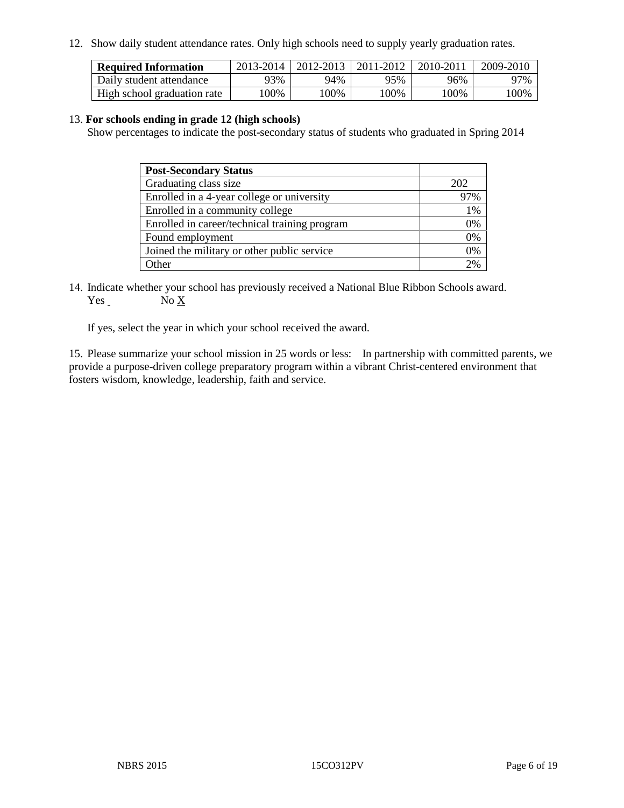12. Show daily student attendance rates. Only high schools need to supply yearly graduation rates.

| <b>Required Information</b> | 2013-2014 | 2012-2013 1 | 2011-2012 | 2010-2011 | 2009-2010 |
|-----------------------------|-----------|-------------|-----------|-----------|-----------|
| Daily student attendance    | 93%       | 94%         | 95%       | 96%       | 97%       |
| High school graduation rate | .00%      | 00%         | 00%       | $100\%$   | $100\%$   |

#### 13. **For schools ending in grade 12 (high schools)**

Show percentages to indicate the post-secondary status of students who graduated in Spring 2014

| <b>Post-Secondary Status</b>                  |                 |
|-----------------------------------------------|-----------------|
| Graduating class size                         | 202             |
| Enrolled in a 4-year college or university    | 97%             |
| Enrolled in a community college               | 1%              |
| Enrolled in career/technical training program | 0%              |
| Found employment                              | 0%              |
| Joined the military or other public service   | 0%              |
| Other                                         | 20 <sub>6</sub> |

14. Indicate whether your school has previously received a National Blue Ribbon Schools award. Yes No X

If yes, select the year in which your school received the award.

15. Please summarize your school mission in 25 words or less: In partnership with committed parents, we provide a purpose-driven college preparatory program within a vibrant Christ-centered environment that fosters wisdom, knowledge, leadership, faith and service.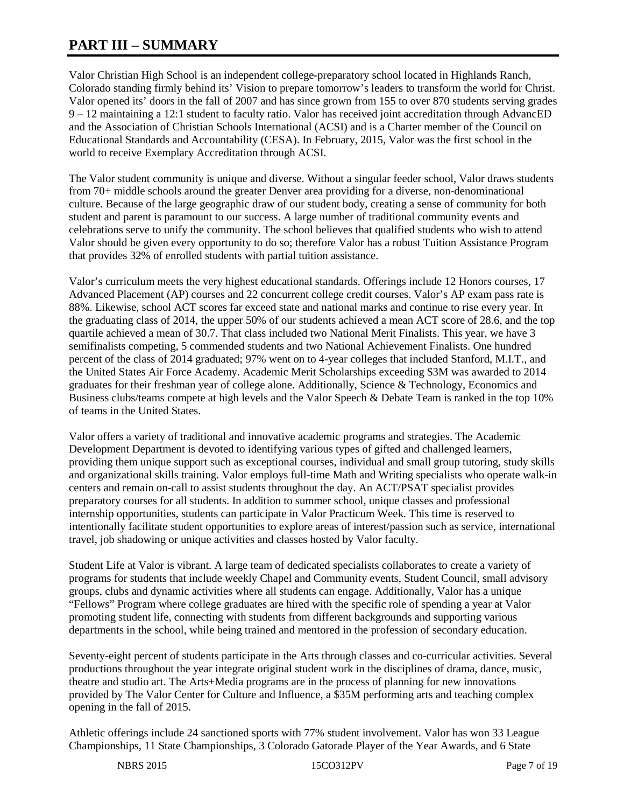## **PART III – SUMMARY**

Valor Christian High School is an independent college-preparatory school located in Highlands Ranch, Colorado standing firmly behind its' Vision to prepare tomorrow's leaders to transform the world for Christ. Valor opened its' doors in the fall of 2007 and has since grown from 155 to over 870 students serving grades 9 – 12 maintaining a 12:1 student to faculty ratio. Valor has received joint accreditation through AdvancED and the Association of Christian Schools International (ACSI) and is a Charter member of the Council on Educational Standards and Accountability (CESA). In February, 2015, Valor was the first school in the world to receive Exemplary Accreditation through ACSI.

The Valor student community is unique and diverse. Without a singular feeder school, Valor draws students from 70+ middle schools around the greater Denver area providing for a diverse, non-denominational culture. Because of the large geographic draw of our student body, creating a sense of community for both student and parent is paramount to our success. A large number of traditional community events and celebrations serve to unify the community. The school believes that qualified students who wish to attend Valor should be given every opportunity to do so; therefore Valor has a robust Tuition Assistance Program that provides 32% of enrolled students with partial tuition assistance.

Valor's curriculum meets the very highest educational standards. Offerings include 12 Honors courses, 17 Advanced Placement (AP) courses and 22 concurrent college credit courses. Valor's AP exam pass rate is 88%. Likewise, school ACT scores far exceed state and national marks and continue to rise every year. In the graduating class of 2014, the upper 50% of our students achieved a mean ACT score of 28.6, and the top quartile achieved a mean of 30.7. That class included two National Merit Finalists. This year, we have 3 semifinalists competing, 5 commended students and two National Achievement Finalists. One hundred percent of the class of 2014 graduated; 97% went on to 4-year colleges that included Stanford, M.I.T., and the United States Air Force Academy. Academic Merit Scholarships exceeding \$3M was awarded to 2014 graduates for their freshman year of college alone. Additionally, Science & Technology, Economics and Business clubs/teams compete at high levels and the Valor Speech & Debate Team is ranked in the top 10% of teams in the United States.

Valor offers a variety of traditional and innovative academic programs and strategies. The Academic Development Department is devoted to identifying various types of gifted and challenged learners, providing them unique support such as exceptional courses, individual and small group tutoring, study skills and organizational skills training. Valor employs full-time Math and Writing specialists who operate walk-in centers and remain on-call to assist students throughout the day. An ACT/PSAT specialist provides preparatory courses for all students. In addition to summer school, unique classes and professional internship opportunities, students can participate in Valor Practicum Week. This time is reserved to intentionally facilitate student opportunities to explore areas of interest/passion such as service, international travel, job shadowing or unique activities and classes hosted by Valor faculty.

Student Life at Valor is vibrant. A large team of dedicated specialists collaborates to create a variety of programs for students that include weekly Chapel and Community events, Student Council, small advisory groups, clubs and dynamic activities where all students can engage. Additionally, Valor has a unique "Fellows" Program where college graduates are hired with the specific role of spending a year at Valor promoting student life, connecting with students from different backgrounds and supporting various departments in the school, while being trained and mentored in the profession of secondary education.

Seventy-eight percent of students participate in the Arts through classes and co-curricular activities. Several productions throughout the year integrate original student work in the disciplines of drama, dance, music, theatre and studio art. The Arts+Media programs are in the process of planning for new innovations provided by The Valor Center for Culture and Influence, a \$35M performing arts and teaching complex opening in the fall of 2015.

Athletic offerings include 24 sanctioned sports with 77% student involvement. Valor has won 33 League Championships, 11 State Championships, 3 Colorado Gatorade Player of the Year Awards, and 6 State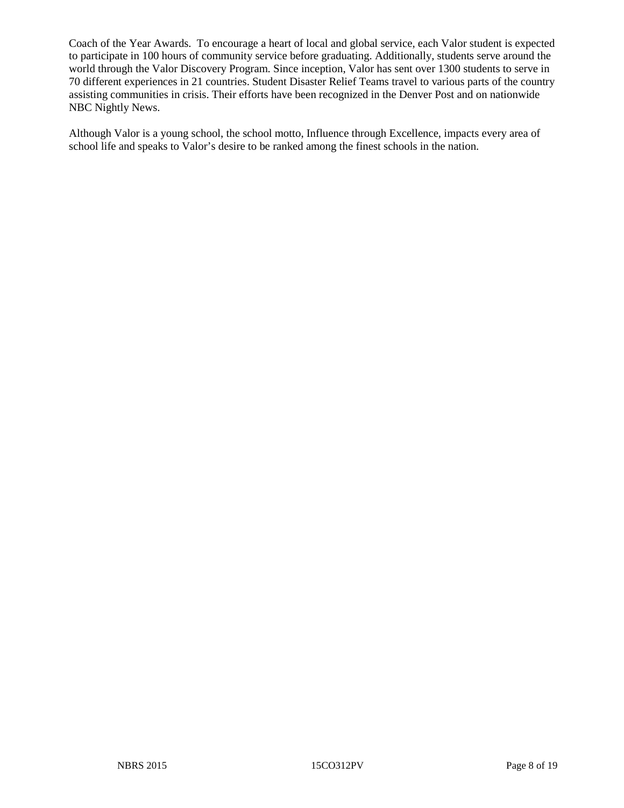Coach of the Year Awards. To encourage a heart of local and global service, each Valor student is expected to participate in 100 hours of community service before graduating. Additionally, students serve around the world through the Valor Discovery Program. Since inception, Valor has sent over 1300 students to serve in 70 different experiences in 21 countries. Student Disaster Relief Teams travel to various parts of the country assisting communities in crisis. Their efforts have been recognized in the Denver Post and on nationwide NBC Nightly News.

Although Valor is a young school, the school motto, Influence through Excellence, impacts every area of school life and speaks to Valor's desire to be ranked among the finest schools in the nation.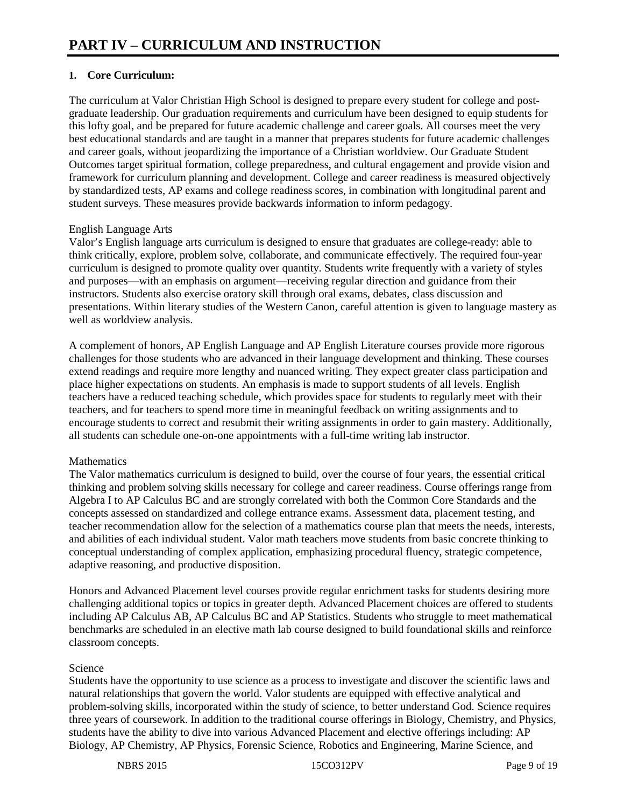#### **1. Core Curriculum:**

The curriculum at Valor Christian High School is designed to prepare every student for college and postgraduate leadership. Our graduation requirements and curriculum have been designed to equip students for this lofty goal, and be prepared for future academic challenge and career goals. All courses meet the very best educational standards and are taught in a manner that prepares students for future academic challenges and career goals, without jeopardizing the importance of a Christian worldview. Our Graduate Student Outcomes target spiritual formation, college preparedness, and cultural engagement and provide vision and framework for curriculum planning and development. College and career readiness is measured objectively by standardized tests, AP exams and college readiness scores, in combination with longitudinal parent and student surveys. These measures provide backwards information to inform pedagogy.

#### English Language Arts

Valor's English language arts curriculum is designed to ensure that graduates are college-ready: able to think critically, explore, problem solve, collaborate, and communicate effectively. The required four-year curriculum is designed to promote quality over quantity. Students write frequently with a variety of styles and purposes—with an emphasis on argument—receiving regular direction and guidance from their instructors. Students also exercise oratory skill through oral exams, debates, class discussion and presentations. Within literary studies of the Western Canon, careful attention is given to language mastery as well as worldview analysis.

A complement of honors, AP English Language and AP English Literature courses provide more rigorous challenges for those students who are advanced in their language development and thinking. These courses extend readings and require more lengthy and nuanced writing. They expect greater class participation and place higher expectations on students. An emphasis is made to support students of all levels. English teachers have a reduced teaching schedule, which provides space for students to regularly meet with their teachers, and for teachers to spend more time in meaningful feedback on writing assignments and to encourage students to correct and resubmit their writing assignments in order to gain mastery. Additionally, all students can schedule one-on-one appointments with a full-time writing lab instructor.

#### **Mathematics**

The Valor mathematics curriculum is designed to build, over the course of four years, the essential critical thinking and problem solving skills necessary for college and career readiness. Course offerings range from Algebra I to AP Calculus BC and are strongly correlated with both the Common Core Standards and the concepts assessed on standardized and college entrance exams. Assessment data, placement testing, and teacher recommendation allow for the selection of a mathematics course plan that meets the needs, interests, and abilities of each individual student. Valor math teachers move students from basic concrete thinking to conceptual understanding of complex application, emphasizing procedural fluency, strategic competence, adaptive reasoning, and productive disposition.

Honors and Advanced Placement level courses provide regular enrichment tasks for students desiring more challenging additional topics or topics in greater depth. Advanced Placement choices are offered to students including AP Calculus AB, AP Calculus BC and AP Statistics. Students who struggle to meet mathematical benchmarks are scheduled in an elective math lab course designed to build foundational skills and reinforce classroom concepts.

#### Science

Students have the opportunity to use science as a process to investigate and discover the scientific laws and natural relationships that govern the world. Valor students are equipped with effective analytical and problem-solving skills, incorporated within the study of science, to better understand God. Science requires three years of coursework. In addition to the traditional course offerings in Biology, Chemistry, and Physics, students have the ability to dive into various Advanced Placement and elective offerings including: AP Biology, AP Chemistry, AP Physics, Forensic Science, Robotics and Engineering, Marine Science, and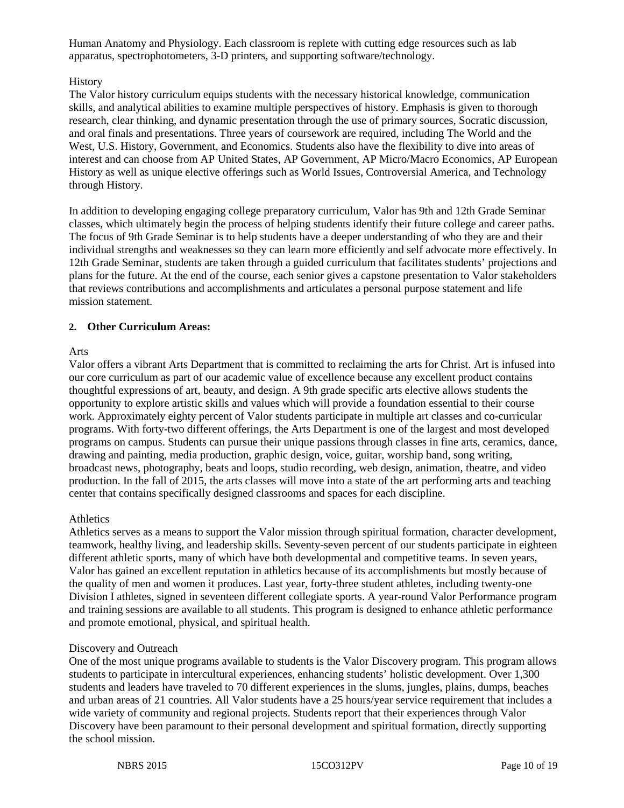Human Anatomy and Physiology. Each classroom is replete with cutting edge resources such as lab apparatus, spectrophotometers, 3-D printers, and supporting software/technology.

#### **History**

The Valor history curriculum equips students with the necessary historical knowledge, communication skills, and analytical abilities to examine multiple perspectives of history. Emphasis is given to thorough research, clear thinking, and dynamic presentation through the use of primary sources, Socratic discussion, and oral finals and presentations. Three years of coursework are required, including The World and the West, U.S. History, Government, and Economics. Students also have the flexibility to dive into areas of interest and can choose from AP United States, AP Government, AP Micro/Macro Economics, AP European History as well as unique elective offerings such as World Issues, Controversial America, and Technology through History.

In addition to developing engaging college preparatory curriculum, Valor has 9th and 12th Grade Seminar classes, which ultimately begin the process of helping students identify their future college and career paths. The focus of 9th Grade Seminar is to help students have a deeper understanding of who they are and their individual strengths and weaknesses so they can learn more efficiently and self advocate more effectively. In 12th Grade Seminar, students are taken through a guided curriculum that facilitates students' projections and plans for the future. At the end of the course, each senior gives a capstone presentation to Valor stakeholders that reviews contributions and accomplishments and articulates a personal purpose statement and life mission statement.

#### **2. Other Curriculum Areas:**

#### Arts

Valor offers a vibrant Arts Department that is committed to reclaiming the arts for Christ. Art is infused into our core curriculum as part of our academic value of excellence because any excellent product contains thoughtful expressions of art, beauty, and design. A 9th grade specific arts elective allows students the opportunity to explore artistic skills and values which will provide a foundation essential to their course work. Approximately eighty percent of Valor students participate in multiple art classes and co-curricular programs. With forty-two different offerings, the Arts Department is one of the largest and most developed programs on campus. Students can pursue their unique passions through classes in fine arts, ceramics, dance, drawing and painting, media production, graphic design, voice, guitar, worship band, song writing, broadcast news, photography, beats and loops, studio recording, web design, animation, theatre, and video production. In the fall of 2015, the arts classes will move into a state of the art performing arts and teaching center that contains specifically designed classrooms and spaces for each discipline.

#### **Athletics**

Athletics serves as a means to support the Valor mission through spiritual formation, character development, teamwork, healthy living, and leadership skills. Seventy-seven percent of our students participate in eighteen different athletic sports, many of which have both developmental and competitive teams. In seven years, Valor has gained an excellent reputation in athletics because of its accomplishments but mostly because of the quality of men and women it produces. Last year, forty-three student athletes, including twenty-one Division I athletes, signed in seventeen different collegiate sports. A year-round Valor Performance program and training sessions are available to all students. This program is designed to enhance athletic performance and promote emotional, physical, and spiritual health.

#### Discovery and Outreach

One of the most unique programs available to students is the Valor Discovery program. This program allows students to participate in intercultural experiences, enhancing students' holistic development. Over 1,300 students and leaders have traveled to 70 different experiences in the slums, jungles, plains, dumps, beaches and urban areas of 21 countries. All Valor students have a 25 hours/year service requirement that includes a wide variety of community and regional projects. Students report that their experiences through Valor Discovery have been paramount to their personal development and spiritual formation, directly supporting the school mission.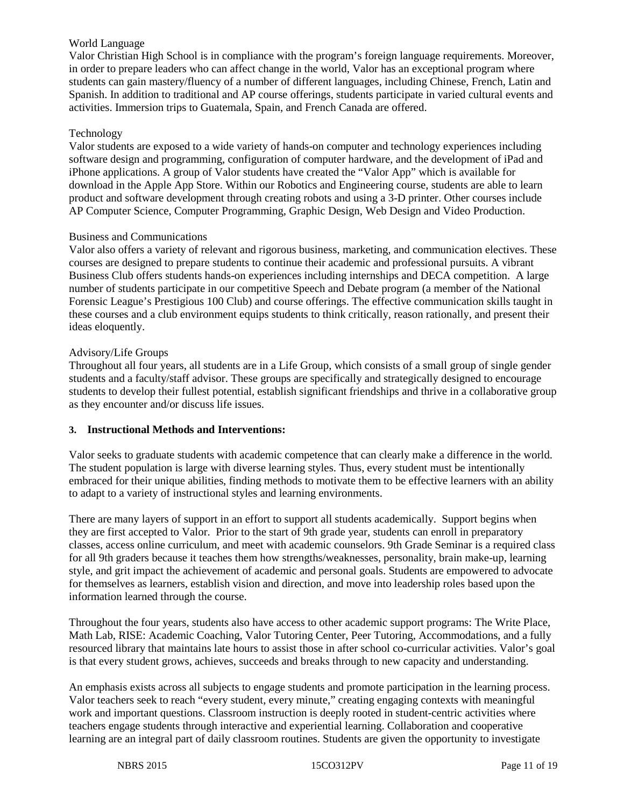#### World Language

Valor Christian High School is in compliance with the program's foreign language requirements. Moreover, in order to prepare leaders who can affect change in the world, Valor has an exceptional program where students can gain mastery/fluency of a number of different languages, including Chinese, French, Latin and Spanish. In addition to traditional and AP course offerings, students participate in varied cultural events and activities. Immersion trips to Guatemala, Spain, and French Canada are offered.

#### Technology

Valor students are exposed to a wide variety of hands-on computer and technology experiences including software design and programming, configuration of computer hardware, and the development of iPad and iPhone applications. A group of Valor students have created the "Valor App" which is available for download in the Apple App Store. Within our Robotics and Engineering course, students are able to learn product and software development through creating robots and using a 3-D printer. Other courses include AP Computer Science, Computer Programming, Graphic Design, Web Design and Video Production.

#### Business and Communications

Valor also offers a variety of relevant and rigorous business, marketing, and communication electives. These courses are designed to prepare students to continue their academic and professional pursuits. A vibrant Business Club offers students hands-on experiences including internships and DECA competition. A large number of students participate in our competitive Speech and Debate program (a member of the National Forensic League's Prestigious 100 Club) and course offerings. The effective communication skills taught in these courses and a club environment equips students to think critically, reason rationally, and present their ideas eloquently.

#### Advisory/Life Groups

Throughout all four years, all students are in a Life Group, which consists of a small group of single gender students and a faculty/staff advisor. These groups are specifically and strategically designed to encourage students to develop their fullest potential, establish significant friendships and thrive in a collaborative group as they encounter and/or discuss life issues.

#### **3. Instructional Methods and Interventions:**

Valor seeks to graduate students with academic competence that can clearly make a difference in the world. The student population is large with diverse learning styles. Thus, every student must be intentionally embraced for their unique abilities, finding methods to motivate them to be effective learners with an ability to adapt to a variety of instructional styles and learning environments.

There are many layers of support in an effort to support all students academically. Support begins when they are first accepted to Valor. Prior to the start of 9th grade year, students can enroll in preparatory classes, access online curriculum, and meet with academic counselors. 9th Grade Seminar is a required class for all 9th graders because it teaches them how strengths/weaknesses, personality, brain make-up, learning style, and grit impact the achievement of academic and personal goals. Students are empowered to advocate for themselves as learners, establish vision and direction, and move into leadership roles based upon the information learned through the course.

Throughout the four years, students also have access to other academic support programs: The Write Place, Math Lab, RISE: Academic Coaching, Valor Tutoring Center, Peer Tutoring, Accommodations, and a fully resourced library that maintains late hours to assist those in after school co-curricular activities. Valor's goal is that every student grows, achieves, succeeds and breaks through to new capacity and understanding.

An emphasis exists across all subjects to engage students and promote participation in the learning process. Valor teachers seek to reach "every student, every minute," creating engaging contexts with meaningful work and important questions. Classroom instruction is deeply rooted in student-centric activities where teachers engage students through interactive and experiential learning. Collaboration and cooperative learning are an integral part of daily classroom routines. Students are given the opportunity to investigate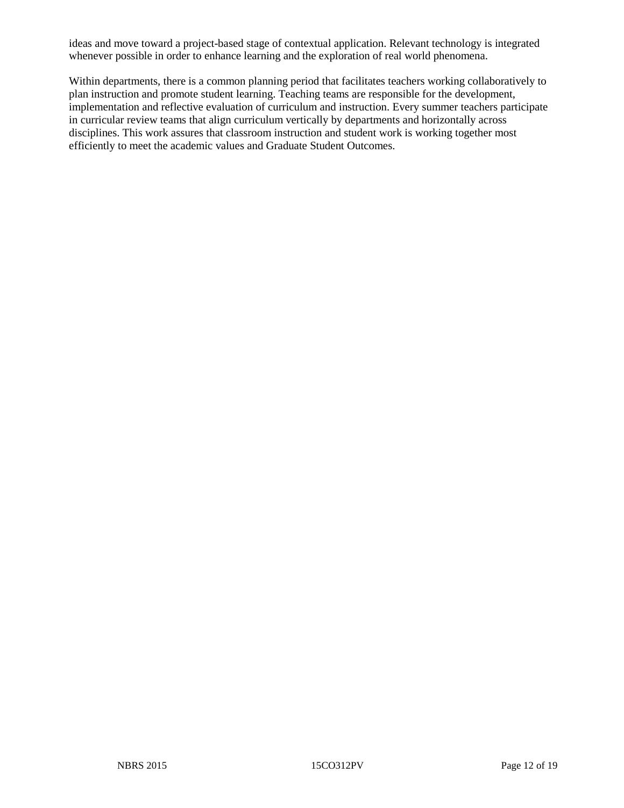ideas and move toward a project-based stage of contextual application. Relevant technology is integrated whenever possible in order to enhance learning and the exploration of real world phenomena.

Within departments, there is a common planning period that facilitates teachers working collaboratively to plan instruction and promote student learning. Teaching teams are responsible for the development, implementation and reflective evaluation of curriculum and instruction. Every summer teachers participate in curricular review teams that align curriculum vertically by departments and horizontally across disciplines. This work assures that classroom instruction and student work is working together most efficiently to meet the academic values and Graduate Student Outcomes.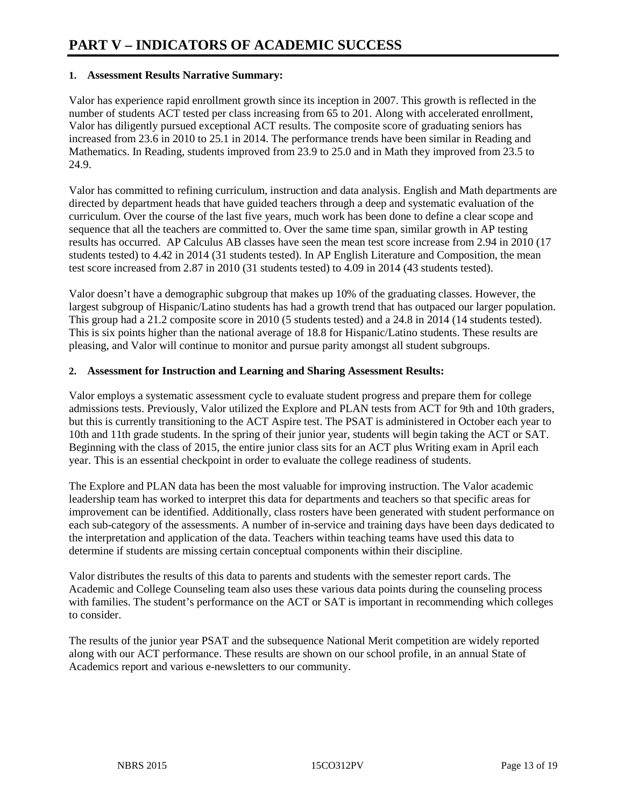#### **1. Assessment Results Narrative Summary:**

Valor has experience rapid enrollment growth since its inception in 2007. This growth is reflected in the number of students ACT tested per class increasing from 65 to 201. Along with accelerated enrollment, Valor has diligently pursued exceptional ACT results. The composite score of graduating seniors has increased from 23.6 in 2010 to 25.1 in 2014. The performance trends have been similar in Reading and Mathematics. In Reading, students improved from 23.9 to 25.0 and in Math they improved from 23.5 to 24.9.

Valor has committed to refining curriculum, instruction and data analysis. English and Math departments are directed by department heads that have guided teachers through a deep and systematic evaluation of the curriculum. Over the course of the last five years, much work has been done to define a clear scope and sequence that all the teachers are committed to. Over the same time span, similar growth in AP testing results has occurred. AP Calculus AB classes have seen the mean test score increase from 2.94 in 2010 (17 students tested) to 4.42 in 2014 (31 students tested). In AP English Literature and Composition, the mean test score increased from 2.87 in 2010 (31 students tested) to 4.09 in 2014 (43 students tested).

Valor doesn't have a demographic subgroup that makes up 10% of the graduating classes. However, the largest subgroup of Hispanic/Latino students has had a growth trend that has outpaced our larger population. This group had a 21.2 composite score in 2010 (5 students tested) and a 24.8 in 2014 (14 students tested). This is six points higher than the national average of 18.8 for Hispanic/Latino students. These results are pleasing, and Valor will continue to monitor and pursue parity amongst all student subgroups.

#### **2. Assessment for Instruction and Learning and Sharing Assessment Results:**

Valor employs a systematic assessment cycle to evaluate student progress and prepare them for college admissions tests. Previously, Valor utilized the Explore and PLAN tests from ACT for 9th and 10th graders, but this is currently transitioning to the ACT Aspire test. The PSAT is administered in October each year to 10th and 11th grade students. In the spring of their junior year, students will begin taking the ACT or SAT. Beginning with the class of 2015, the entire junior class sits for an ACT plus Writing exam in April each year. This is an essential checkpoint in order to evaluate the college readiness of students.

The Explore and PLAN data has been the most valuable for improving instruction. The Valor academic leadership team has worked to interpret this data for departments and teachers so that specific areas for improvement can be identified. Additionally, class rosters have been generated with student performance on each sub-category of the assessments. A number of in-service and training days have been days dedicated to the interpretation and application of the data. Teachers within teaching teams have used this data to determine if students are missing certain conceptual components within their discipline.

Valor distributes the results of this data to parents and students with the semester report cards. The Academic and College Counseling team also uses these various data points during the counseling process with families. The student's performance on the ACT or SAT is important in recommending which colleges to consider.

The results of the junior year PSAT and the subsequence National Merit competition are widely reported along with our ACT performance. These results are shown on our school profile, in an annual State of Academics report and various e-newsletters to our community.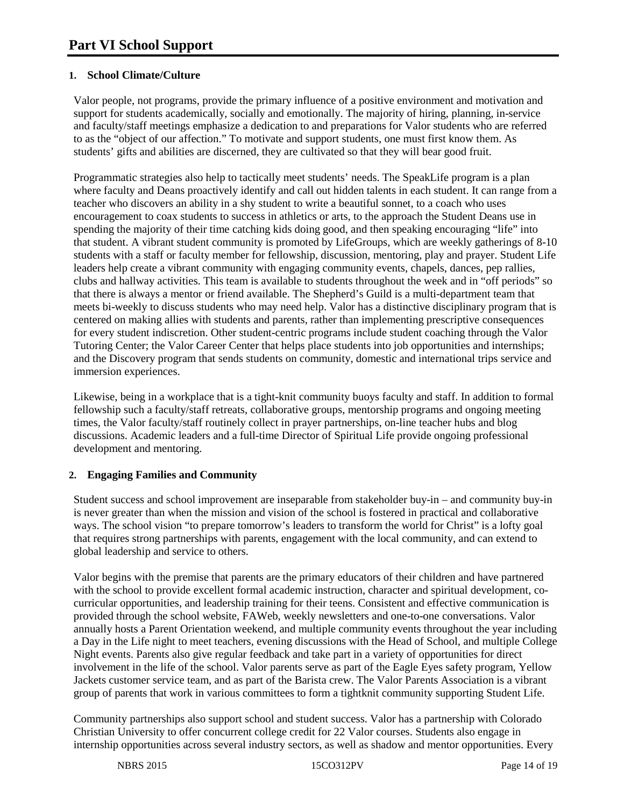#### **1. School Climate/Culture**

Valor people, not programs, provide the primary influence of a positive environment and motivation and support for students academically, socially and emotionally. The majority of hiring, planning, in-service and faculty/staff meetings emphasize a dedication to and preparations for Valor students who are referred to as the "object of our affection." To motivate and support students, one must first know them. As students' gifts and abilities are discerned, they are cultivated so that they will bear good fruit.

Programmatic strategies also help to tactically meet students' needs. The SpeakLife program is a plan where faculty and Deans proactively identify and call out hidden talents in each student. It can range from a teacher who discovers an ability in a shy student to write a beautiful sonnet, to a coach who uses encouragement to coax students to success in athletics or arts, to the approach the Student Deans use in spending the majority of their time catching kids doing good, and then speaking encouraging "life" into that student. A vibrant student community is promoted by LifeGroups, which are weekly gatherings of 8-10 students with a staff or faculty member for fellowship, discussion, mentoring, play and prayer. Student Life leaders help create a vibrant community with engaging community events, chapels, dances, pep rallies, clubs and hallway activities. This team is available to students throughout the week and in "off periods" so that there is always a mentor or friend available. The Shepherd's Guild is a multi-department team that meets bi-weekly to discuss students who may need help. Valor has a distinctive disciplinary program that is centered on making allies with students and parents, rather than implementing prescriptive consequences for every student indiscretion. Other student-centric programs include student coaching through the Valor Tutoring Center; the Valor Career Center that helps place students into job opportunities and internships; and the Discovery program that sends students on community, domestic and international trips service and immersion experiences.

Likewise, being in a workplace that is a tight-knit community buoys faculty and staff. In addition to formal fellowship such a faculty/staff retreats, collaborative groups, mentorship programs and ongoing meeting times, the Valor faculty/staff routinely collect in prayer partnerships, on-line teacher hubs and blog discussions. Academic leaders and a full-time Director of Spiritual Life provide ongoing professional development and mentoring.

#### **2. Engaging Families and Community**

Student success and school improvement are inseparable from stakeholder buy-in – and community buy-in is never greater than when the mission and vision of the school is fostered in practical and collaborative ways. The school vision "to prepare tomorrow's leaders to transform the world for Christ" is a lofty goal that requires strong partnerships with parents, engagement with the local community, and can extend to global leadership and service to others.

Valor begins with the premise that parents are the primary educators of their children and have partnered with the school to provide excellent formal academic instruction, character and spiritual development, cocurricular opportunities, and leadership training for their teens. Consistent and effective communication is provided through the school website, FAWeb, weekly newsletters and one-to-one conversations. Valor annually hosts a Parent Orientation weekend, and multiple community events throughout the year including a Day in the Life night to meet teachers, evening discussions with the Head of School, and multiple College Night events. Parents also give regular feedback and take part in a variety of opportunities for direct involvement in the life of the school. Valor parents serve as part of the Eagle Eyes safety program, Yellow Jackets customer service team, and as part of the Barista crew. The Valor Parents Association is a vibrant group of parents that work in various committees to form a tightknit community supporting Student Life.

Community partnerships also support school and student success. Valor has a partnership with Colorado Christian University to offer concurrent college credit for 22 Valor courses. Students also engage in internship opportunities across several industry sectors, as well as shadow and mentor opportunities. Every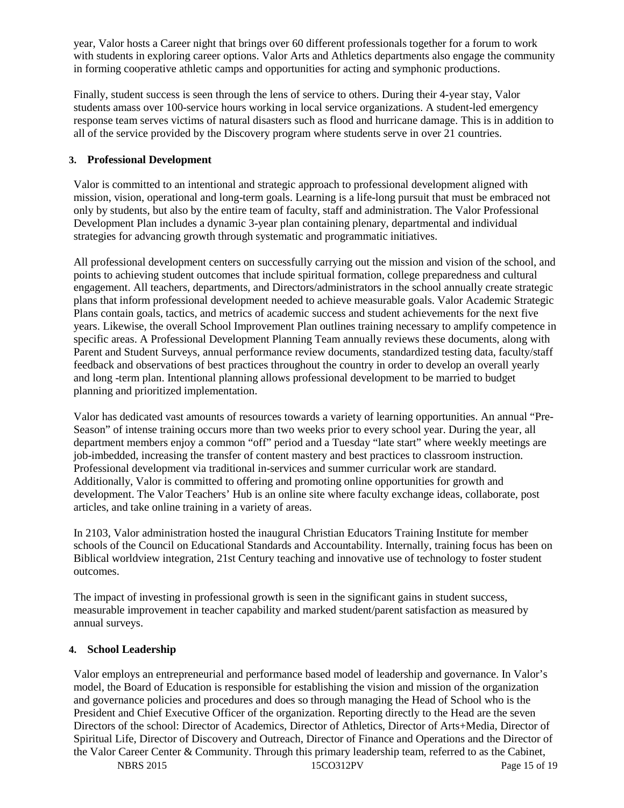year, Valor hosts a Career night that brings over 60 different professionals together for a forum to work with students in exploring career options. Valor Arts and Athletics departments also engage the community in forming cooperative athletic camps and opportunities for acting and symphonic productions.

Finally, student success is seen through the lens of service to others. During their 4-year stay, Valor students amass over 100-service hours working in local service organizations. A student-led emergency response team serves victims of natural disasters such as flood and hurricane damage. This is in addition to all of the service provided by the Discovery program where students serve in over 21 countries.

#### **3. Professional Development**

Valor is committed to an intentional and strategic approach to professional development aligned with mission, vision, operational and long-term goals. Learning is a life-long pursuit that must be embraced not only by students, but also by the entire team of faculty, staff and administration. The Valor Professional Development Plan includes a dynamic 3-year plan containing plenary, departmental and individual strategies for advancing growth through systematic and programmatic initiatives.

All professional development centers on successfully carrying out the mission and vision of the school, and points to achieving student outcomes that include spiritual formation, college preparedness and cultural engagement. All teachers, departments, and Directors/administrators in the school annually create strategic plans that inform professional development needed to achieve measurable goals. Valor Academic Strategic Plans contain goals, tactics, and metrics of academic success and student achievements for the next five years. Likewise, the overall School Improvement Plan outlines training necessary to amplify competence in specific areas. A Professional Development Planning Team annually reviews these documents, along with Parent and Student Surveys, annual performance review documents, standardized testing data, faculty/staff feedback and observations of best practices throughout the country in order to develop an overall yearly and long -term plan. Intentional planning allows professional development to be married to budget planning and prioritized implementation.

Valor has dedicated vast amounts of resources towards a variety of learning opportunities. An annual "Pre-Season" of intense training occurs more than two weeks prior to every school year. During the year, all department members enjoy a common "off" period and a Tuesday "late start" where weekly meetings are job-imbedded, increasing the transfer of content mastery and best practices to classroom instruction. Professional development via traditional in-services and summer curricular work are standard. Additionally, Valor is committed to offering and promoting online opportunities for growth and development. The Valor Teachers' Hub is an online site where faculty exchange ideas, collaborate, post articles, and take online training in a variety of areas.

In 2103, Valor administration hosted the inaugural Christian Educators Training Institute for member schools of the Council on Educational Standards and Accountability. Internally, training focus has been on Biblical worldview integration, 21st Century teaching and innovative use of technology to foster student outcomes.

The impact of investing in professional growth is seen in the significant gains in student success, measurable improvement in teacher capability and marked student/parent satisfaction as measured by annual surveys.

#### **4. School Leadership**

Valor employs an entrepreneurial and performance based model of leadership and governance. In Valor's model, the Board of Education is responsible for establishing the vision and mission of the organization and governance policies and procedures and does so through managing the Head of School who is the President and Chief Executive Officer of the organization. Reporting directly to the Head are the seven Directors of the school: Director of Academics, Director of Athletics, Director of Arts+Media, Director of Spiritual Life, Director of Discovery and Outreach, Director of Finance and Operations and the Director of the Valor Career Center & Community. Through this primary leadership team, referred to as the Cabinet,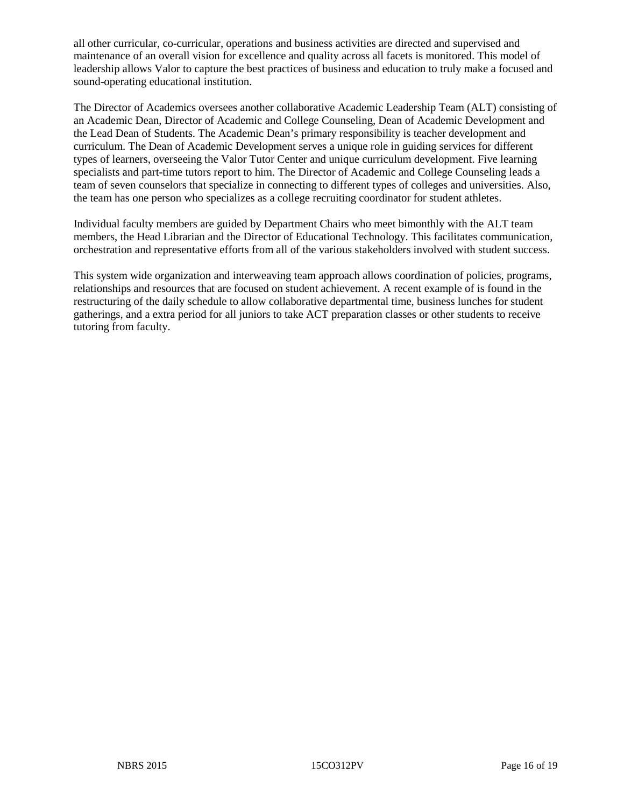all other curricular, co-curricular, operations and business activities are directed and supervised and maintenance of an overall vision for excellence and quality across all facets is monitored. This model of leadership allows Valor to capture the best practices of business and education to truly make a focused and sound-operating educational institution.

The Director of Academics oversees another collaborative Academic Leadership Team (ALT) consisting of an Academic Dean, Director of Academic and College Counseling, Dean of Academic Development and the Lead Dean of Students. The Academic Dean's primary responsibility is teacher development and curriculum. The Dean of Academic Development serves a unique role in guiding services for different types of learners, overseeing the Valor Tutor Center and unique curriculum development. Five learning specialists and part-time tutors report to him. The Director of Academic and College Counseling leads a team of seven counselors that specialize in connecting to different types of colleges and universities. Also, the team has one person who specializes as a college recruiting coordinator for student athletes.

Individual faculty members are guided by Department Chairs who meet bimonthly with the ALT team members, the Head Librarian and the Director of Educational Technology. This facilitates communication, orchestration and representative efforts from all of the various stakeholders involved with student success.

This system wide organization and interweaving team approach allows coordination of policies, programs, relationships and resources that are focused on student achievement. A recent example of is found in the restructuring of the daily schedule to allow collaborative departmental time, business lunches for student gatherings, and a extra period for all juniors to take ACT preparation classes or other students to receive tutoring from faculty.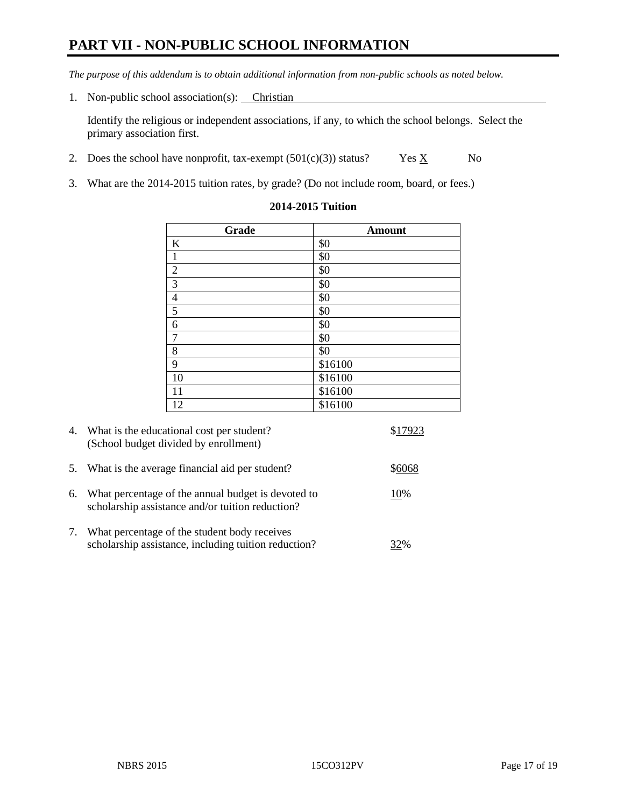## **PART VII - NON-PUBLIC SCHOOL INFORMATION**

*The purpose of this addendum is to obtain additional information from non-public schools as noted below.*

1. Non-public school association(s): Christian

Identify the religious or independent associations, if any, to which the school belongs. Select the primary association first.

- 2. Does the school have nonprofit, tax-exempt  $(501(c)(3))$  status? Yes  $\underline{X}$  No
- 3. What are the 2014-2015 tuition rates, by grade? (Do not include room, board, or fees.)

| Grade          | <b>Amount</b> |
|----------------|---------------|
| $\bf K$        | \$0           |
| $\mathbf 1$    | \$0           |
| $\overline{c}$ | \$0           |
| $\overline{3}$ | \$0           |
|                | \$0           |
| $\frac{4}{5}$  | \$0           |
|                | \$0           |
| $\overline{7}$ | \$0           |
| $\,8\,$        | \$0           |
| $\overline{9}$ | \$16100       |
| 10             | \$16100       |
| 11             | \$16100       |
| 12             | \$16100       |

#### **2014-2015 Tuition**

| 4. | What is the educational cost per student?<br>(School budget divided by enrollment)                     | \$17923 |
|----|--------------------------------------------------------------------------------------------------------|---------|
| 5. | What is the average financial aid per student?                                                         | 86068   |
| 6. | What percentage of the annual budget is devoted to<br>scholarship assistance and/or tuition reduction? | 10%     |
| 7. | What percentage of the student body receives<br>scholarship assistance, including tuition reduction?   | 32%     |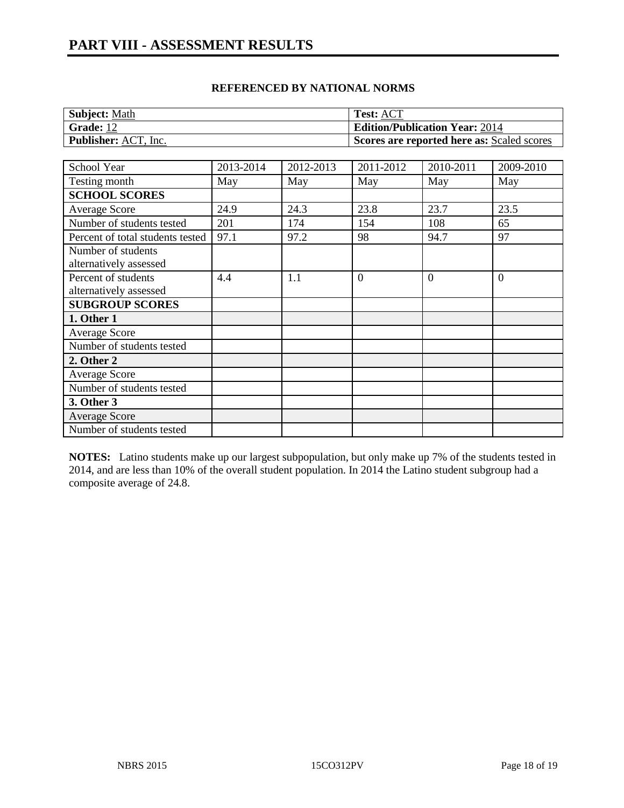#### **REFERENCED BY NATIONAL NORMS**

| <b>Subject: Math</b>        | <b>Test: ACT</b>                           |
|-----------------------------|--------------------------------------------|
| Grade: 12                   | <b>Edition/Publication Year: 2014</b>      |
| <b>Publisher:</b> ACT, Inc. | Scores are reported here as: Scaled scores |

| School Year                      | 2013-2014 | 2012-2013 | 2011-2012      | 2010-2011 | 2009-2010      |
|----------------------------------|-----------|-----------|----------------|-----------|----------------|
| Testing month                    | May       | May       | May            | May       | May            |
| <b>SCHOOL SCORES</b>             |           |           |                |           |                |
| Average Score                    | 24.9      | 24.3      | 23.8           | 23.7      | 23.5           |
| Number of students tested        | 201       | 174       | 154            | 108       | 65             |
| Percent of total students tested | 97.1      | 97.2      | 98             | 94.7      | 97             |
| Number of students               |           |           |                |           |                |
| alternatively assessed           |           |           |                |           |                |
| Percent of students              | 4.4       | 1.1       | $\overline{0}$ | $\Omega$  | $\overline{0}$ |
| alternatively assessed           |           |           |                |           |                |
| <b>SUBGROUP SCORES</b>           |           |           |                |           |                |
| 1. Other 1                       |           |           |                |           |                |
| <b>Average Score</b>             |           |           |                |           |                |
| Number of students tested        |           |           |                |           |                |
| 2. Other 2                       |           |           |                |           |                |
| Average Score                    |           |           |                |           |                |
| Number of students tested        |           |           |                |           |                |
| 3. Other 3                       |           |           |                |           |                |
| <b>Average Score</b>             |           |           |                |           |                |
| Number of students tested        |           |           |                |           |                |

**NOTES:** Latino students make up our largest subpopulation, but only make up 7% of the students tested in 2014, and are less than 10% of the overall student population. In 2014 the Latino student subgroup had a composite average of 24.8.